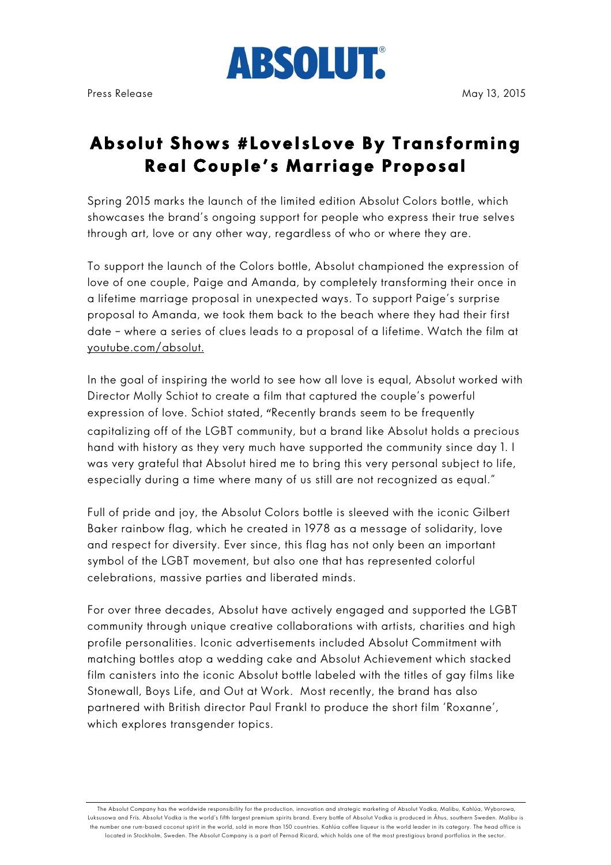

## **Absolut Shows #LoveIsLove By Transforming Real Couple's Marriage Proposal**

Spring 2015 marks the launch of the limited edition Absolut Colors bottle, which showcases the brand's ongoing support for people who express their true selves through art, love or any other way, regardless of who or where they are.

To support the launch of the Colors bottle, Absolut championed the expression of love of one couple, Paige and Amanda, by completely transforming their once in a lifetime marriage proposal in unexpected ways. To support Paige's surprise proposal to Amanda, we took them back to the beach where they had their first date – where a series of clues leads to a proposal of a lifetime. Watch the film at youtube.com/absolut.

In the goal of inspiring the world to see how all love is equal, Absolut worked with Director Molly Schiot to create a film that captured the couple's powerful expression of love. Schiot stated, "Recently brands seem to be frequently capitalizing off of the LGBT community, but a brand like Absolut holds a precious hand with history as they very much have supported the community since day 1. I was very grateful that Absolut hired me to bring this very personal subject to life, especially during a time where many of us still are not recognized as equal."

Full of pride and joy, the Absolut Colors bottle is sleeved with the iconic Gilbert Baker rainbow flag, which he created in 1978 as a message of solidarity, love and respect for diversity. Ever since, this flag has not only been an important symbol of the LGBT movement, but also one that has represented colorful celebrations, massive parties and liberated minds.

For over three decades, Absolut have actively engaged and supported the LGBT community through unique creative collaborations with artists, charities and high profile personalities. Iconic advertisements included Absolut Commitment with matching bottles atop a wedding cake and Absolut Achievement which stacked film canisters into the iconic Absolut bottle labeled with the titles of gay films like Stonewall, Boys Life, and Out at Work. Most recently, the brand has also partnered with British director Paul Frankl to produce the short film 'Roxanne', which explores transgender topics.

The Absolut Company has the worldwide responsibility for the production, innovation and strategic marketing of Absolut Vodka, Malibu, Kahlúa, Wyborowa, Luksusowa and Frïs. Absolut Vodka is the world's fifth largest premium spirits brand. Every bottle of Absolut Vodka is produced in Åhus, southern Sweden. Malibu is the number one rum-based coconut spirit in the world, sold in more than 150 countries. Kahlúa coffee liqueur is the world leader in its category. The head office is located in Stockholm, Sweden. The Absolut Company is a part of Pernod Ricard, which holds one of the most prestigious brand portfolios in the sector.